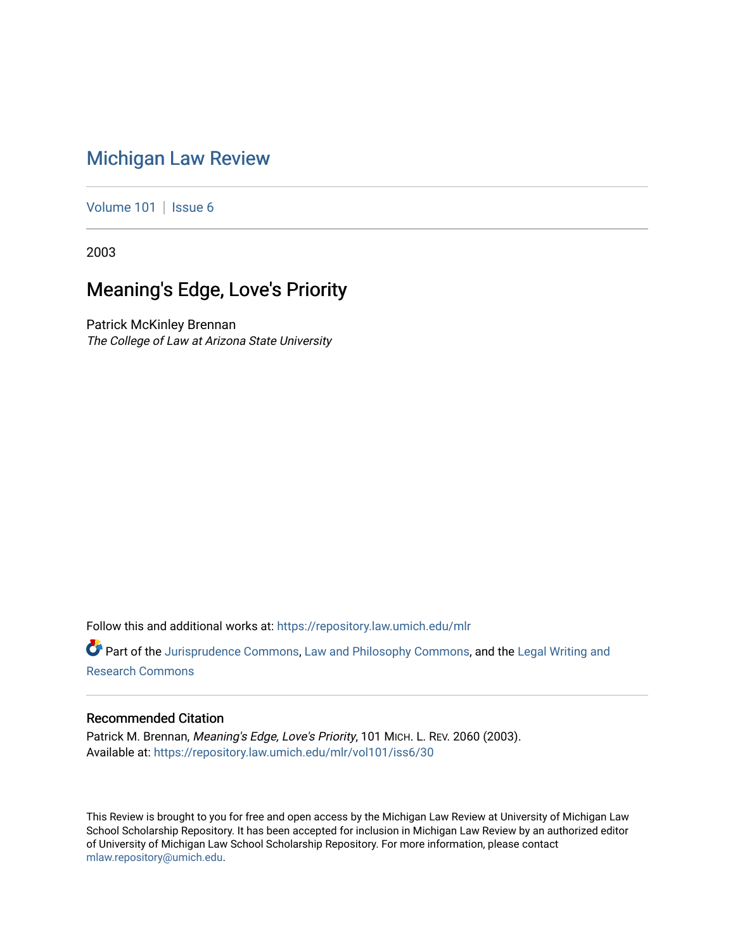## [Michigan Law Review](https://repository.law.umich.edu/mlr)

[Volume 101](https://repository.law.umich.edu/mlr/vol101) | [Issue 6](https://repository.law.umich.edu/mlr/vol101/iss6)

2003

# Meaning's Edge, Love's Priority

Patrick McKinley Brennan The College of Law at Arizona State University

Follow this and additional works at: [https://repository.law.umich.edu/mlr](https://repository.law.umich.edu/mlr?utm_source=repository.law.umich.edu%2Fmlr%2Fvol101%2Fiss6%2F30&utm_medium=PDF&utm_campaign=PDFCoverPages) 

Part of the [Jurisprudence Commons](http://network.bepress.com/hgg/discipline/610?utm_source=repository.law.umich.edu%2Fmlr%2Fvol101%2Fiss6%2F30&utm_medium=PDF&utm_campaign=PDFCoverPages), [Law and Philosophy Commons](http://network.bepress.com/hgg/discipline/1299?utm_source=repository.law.umich.edu%2Fmlr%2Fvol101%2Fiss6%2F30&utm_medium=PDF&utm_campaign=PDFCoverPages), and the [Legal Writing and](http://network.bepress.com/hgg/discipline/614?utm_source=repository.law.umich.edu%2Fmlr%2Fvol101%2Fiss6%2F30&utm_medium=PDF&utm_campaign=PDFCoverPages) [Research Commons](http://network.bepress.com/hgg/discipline/614?utm_source=repository.law.umich.edu%2Fmlr%2Fvol101%2Fiss6%2F30&utm_medium=PDF&utm_campaign=PDFCoverPages) 

### Recommended Citation

Patrick M. Brennan, Meaning's Edge, Love's Priority, 101 MICH. L. REV. 2060 (2003). Available at: [https://repository.law.umich.edu/mlr/vol101/iss6/30](https://repository.law.umich.edu/mlr/vol101/iss6/30?utm_source=repository.law.umich.edu%2Fmlr%2Fvol101%2Fiss6%2F30&utm_medium=PDF&utm_campaign=PDFCoverPages) 

This Review is brought to you for free and open access by the Michigan Law Review at University of Michigan Law School Scholarship Repository. It has been accepted for inclusion in Michigan Law Review by an authorized editor of University of Michigan Law School Scholarship Repository. For more information, please contact [mlaw.repository@umich.edu.](mailto:mlaw.repository@umich.edu)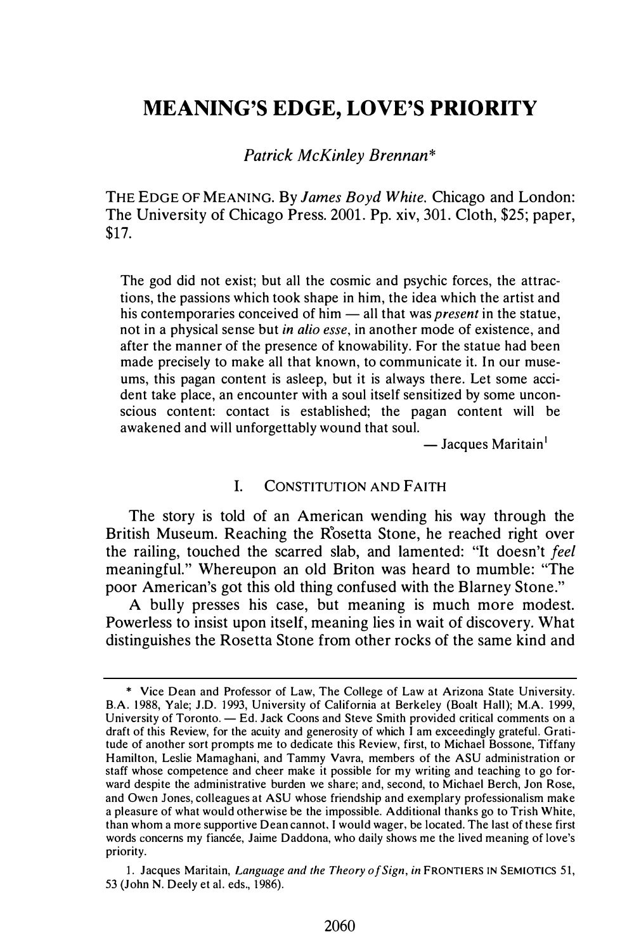### MEANING'S EDGE, LOVE'S PRIORITY

Patrick McKinley Brennan\*

THE EDGE OF MEANING. By James Boyd White. Chicago and London: The University of Chicago Press. 2001. Pp. xiv, 301. Cloth, \$25; paper, \$17.

The god did not exist; but all the cosmic and psychic forces, the attractions, the passions which took shape in him, the idea which the artist and his contemporaries conceived of him  $-$  all that was *present* in the statue, not in a physical sense but in alio esse, in another mode of existence, and after the manner of the presence of knowability. For the statue had been made precisely to make all that known, to communicate it. In our museums, this pagan content is asleep, but it is always there. Let some accident take place, an encounter with a soul itself sensitized by some unconscious content: contact is established; the pagan content will be awakened and will unforgettably wound that soul.

 $-$  Jacques Maritain<sup>1</sup>

#### I. CONSTITUTION AND FAITH

The story is told of an American wending his way through the British Museum. Reaching the Rosetta Stone, he reached right over the railing, touched the scarred slab, and lamented: "It doesn't feel meaningful." Whereupon an old Briton was heard to mumble: "The poor American's got this old thing confused with the Blarney Stone."

A bully presses his case, but meaning is much more modest. Powerless to insist upon itself, meaning lies in wait of discovery. What distinguishes the Rosetta Stone from other rocks of the same kind and

<sup>\*</sup> Vice Dean and Professor of Law, The College of Law at Arizona State University. B.A. 1988, Yale; J.D. 1993, University of California at Berkeley (Boalt Hall); M.A. 1999, University of Toronto. - Ed. Jack Coons and Steve Smith provided critical comments on a draft of this Review, for the acuity and generosity of which I am exceedingly grateful. Gratitude of another sort prompts me to dedicate this Review, first, to Michael Bossone, Tiffany Hamilton, Leslie Mamaghani, and Tammy Vavra, members of the ASU administration or staff whose competence and cheer make it possible for my writing and teaching to go forward despite the administrative burden we share; and, second, to Michael Berch, Jon Rose, and Owen Jones, colleagues at ASU whose friendship and exemplary professionalism make a pleasure of what would otherwise be the impossible. Additional thanks go to Trish White, than whom a more supportive Dean cannot, I would wager, be located. The last of these first words concerns my fiancee, Jaime Daddona, who daily shows me the lived meaning of love's priority.

<sup>1.</sup> Jacques Maritain, Language and the Theory of Sign, in FRONTIERS IN SEMIOTICS 51, 53 (John N. Deely et al. eds., 1986).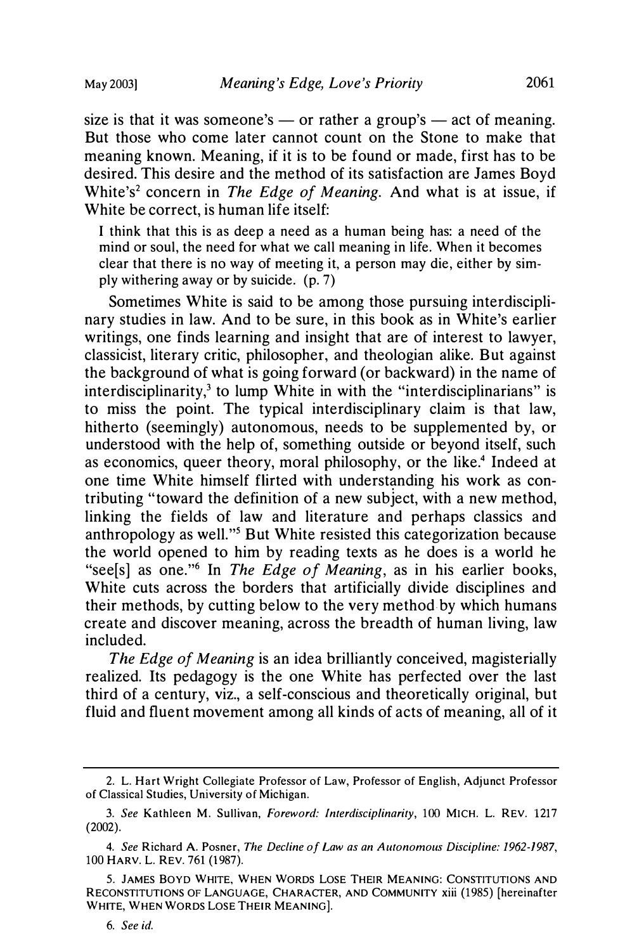size is that it was someone's — or rather a group's — act of meaning. But those who come later cannot count on the Stone to make that meaning known. Meaning, if it is to be found or made, first has to be desired. This desire and the method of its satisfaction are James Boyd White's<sup>2</sup> concern in The Edge of Meaning. And what is at issue, if White be correct, is human life itself:

I think that this is as deep a need as a human being has: a need of the mind or soul, the need for what we call meaning in life. When it becomes clear that there is no way of meeting it, a person may die, either by simply withering away or by suicide. (p. 7)

Sometimes White is said to be among those pursuing interdisciplinary studies in law. And to be sure, in this book as in White's earlier writings, one finds learning and insight that are of interest to lawyer, classicist, literary critic, philosopher, and theologian alike. But against the background of what is going forward (or backward) in the name of interdisciplinarity, $3$  to lump White in with the "interdisciplinarians" is to miss the point. The typical interdisciplinary claim is that law, hitherto (seemingly) autonomous, needs to be supplemented by, or understood with the help of, something outside or beyond itself, such as economics, queer theory, moral philosophy, or the like.<sup>4</sup> Indeed at one time White himself flirted with understanding his work as contributing "toward the definition of a new subject, with a new method, linking the fields of law and literature and perhaps classics and anthropology as well."5 But White resisted this categorization because the world opened to him by reading texts as he does is a world he "see[s] as one."<sup>6</sup> In *The Edge of Meaning*, as in his earlier books, White cuts across the borders that artificially divide disciplines and their methods, by cutting below to the very method by which humans create and discover meaning, across the breadth of human living, law included.

The Edge of Meaning is an idea brilliantly conceived, magisterially realized. Its pedagogy is the one White has perfected over the last third of a century, viz., a self-conscious and theoretically original, but fluid and fluent movement among all kinds of acts of meaning, all of it

<sup>2.</sup> L. Hart Wright Collegiate Professor of Law, Professor of English, Adjunct Professor of Classical Studies, University of Michigan.

<sup>3.</sup> See Kathleen M. Sullivan, Foreword: lnterdisciplinarity, 100 MICH. L. REV. 1217 (2002).

<sup>4.</sup> See Richard A. Posner, The Decline of Law as an Autonomous Discipline: 1962-1987, 100 HARV. L. REV. 761 (1987).

<sup>5.</sup> JAMES BOYD WHITE, WHEN WORDS LOSE THEIR MEANING: CONSTITUTIONS AND RECONSTITUTIONS OF LANGUAGE, CHARACTER, AND COMMUNITY xiii (1985) [hereinafter WHITE, WHEN WORDS LOSE THEIR MEANING].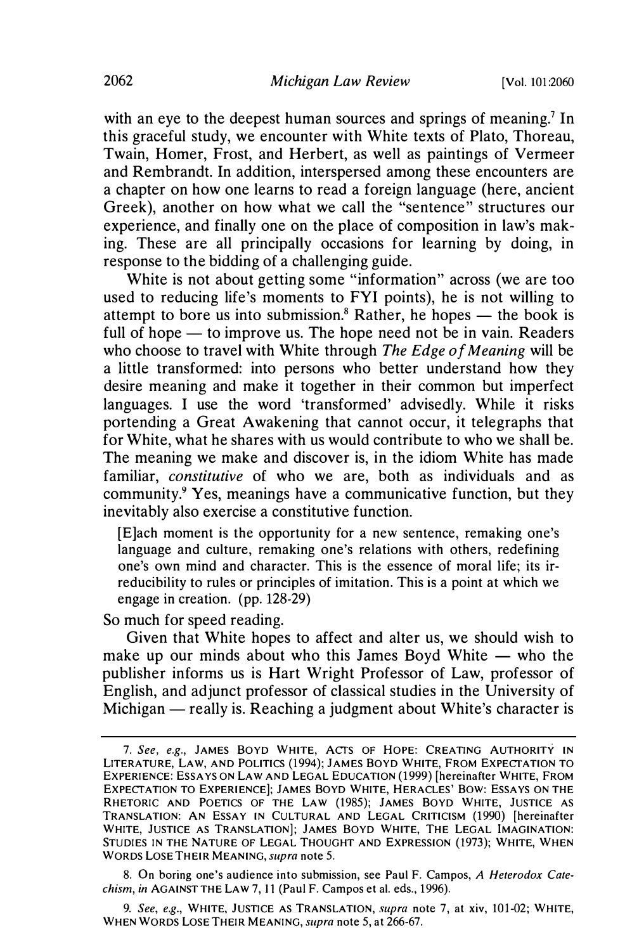with an eye to the deepest human sources and springs of meaning.<sup>7</sup> In this graceful study, we encounter with White texts of Plato, Thoreau, Twain, Homer, Frost, and Herbert, as well as paintings of Vermeer and Rembrandt. In addition, interspersed among these encounters are a chapter on how one learns to read a foreign language (here, ancient Greek), another on how what we call the "sentence" structures our experience, and finally one on the place of composition in law's making. These are all principally occasions for learning by doing, in response to the bidding of a challenging guide.

White is not about getting some "information" across (we are too used to reducing life's moments to FYI points), he is not willing to attempt to bore us into submission.<sup>8</sup> Rather, he hopes  $-$  the book is full of hope  $-$  to improve us. The hope need not be in vain. Readers who choose to travel with White through The Edge of Meaning will be a little transformed: into persons who better understand how they desire meaning and make it together in their common but imperfect languages. I use the word 'transformed' advisedly. While it risks portending a Great Awakening that cannot occur, it telegraphs that for White, what he shares with us would contribute to who we shall be. The meaning we make and discover is, in the idiom White has made familiar, *constitutive* of who we are, both as individuals and as community.<sup>9</sup> Yes, meanings have a communicative function, but they inevitably also exercise a constitutive function.

[E]ach moment is the opportunity for a new sentence, remaking one's language and culture, remaking one's relations with others, redefining one's own mind and character. This is the essence of moral life; its irreducibility to rules or principles of imitation. This is a point at which we engage in creation. (pp. 128-29)

So much for speed reading.

Given that White hopes to affect and alter us, we should wish to make up our minds about who this James Boyd White  $-$  who the publisher informs us is Hart Wright Professor of Law, professor of English, and adjunct professor of classical studies in the University of Michigan — really is. Reaching a judgment about White's character is

8. On boring one's audience into submission, see Paul F. Campos, A Heterodox Catechism, in AGAINST THE LAW 7, 11 (Paul F. Campos et al. eds., 1996).

9. See, e.g., WHITE, JUSTICE AS TRANSLATION, supra note 7, at xiv, 101-02; WHITE, WHEN WORDS LOSE THEIR MEANING, supra note 5, at 266-67.

<sup>7.</sup> See, e.g., JAMES BOYD WHITE, ACTS OF HOPE: CREATING AUTHORITY IN LITERATURE, LAW, AND POLITICS (1994); JAMES BOYD WHITE, FROM EXPECTATION TO EXPERIENCE: ESSAYS ON LAW AND LEGAL EDUCATION (1999) [hereinafter WHITE, FROM EXPECTATION TO EXPERIENCE]; JAMES BOYD WHITE, HERACLES' Bow: ESSAYS ON THE RHETORIC AND POETICS OF THE LAW (1985); JAMES BOYD WHITE, JUSTICE AS TRANSLATION: AN ESSAY IN CULTURAL AND LEGAL CRITICISM (1990) [hereinafter WHITE, JUSTICE AS TRANSLATION]; JAMES BOYD WHITE, THE LEGAL IMAGINATION: STUDIES IN THE NATURE OF LEGAL THOUGHT AND EXPRESSION (1973); WHITE, WHEN WORDS LOSE THEIR MEANING, supra note 5.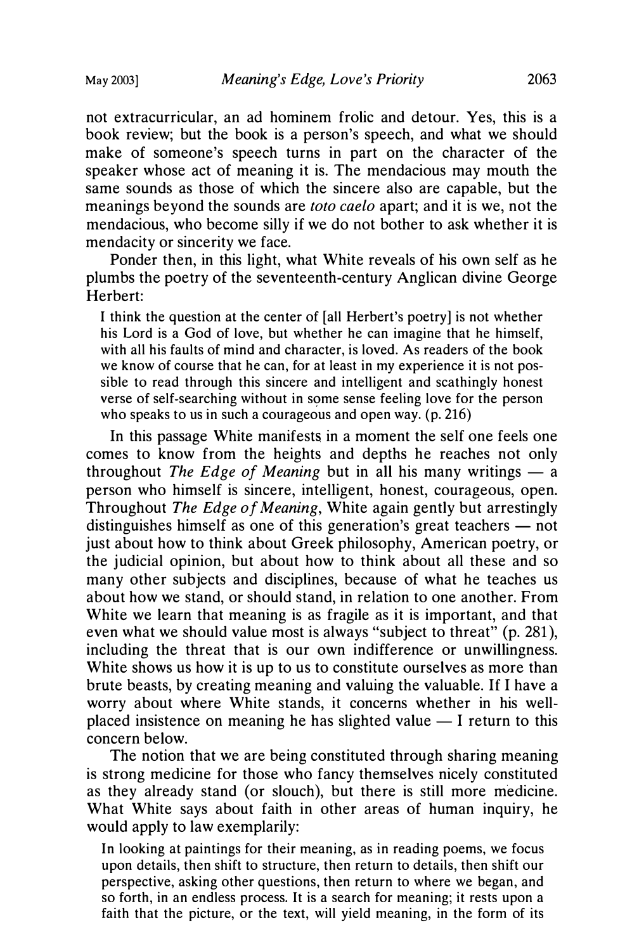not extracurricular, an ad hominem frolic and detour. Yes, this is a book review; but the book is a person's speech, and what we should make of someone's speech turns in part on the character of the speaker whose act of meaning it is. The mendacious may mouth the same sounds as those of which the sincere also are capable, but the meanings beyond the sounds are *toto caelo* apart; and it is we, not the mendacious, who become silly if we do not bother to ask whether it is mendacity or sincerity we face.

Ponder then, in this light, what White reveals of his own self as he plumbs the poetry of the seventeenth-century Anglican divine George Herbert:

I think the question at the center of [all Herbert's poetry] is not whether his Lord is a God of love, but whether he can imagine that he himself, with all his faults of mind and character, is loved. As readers of the book we know of course that he can, for at least in my experience it is not possible to read through this sincere and intelligent and scathingly honest verse of self-searching without in some sense feeling love for the person who speaks to us in such a courageous and open way. (p. 216)

In this passage White manifests in a moment the self one feels one comes to know from the heights and depths he reaches not only throughout The Edge of Meaning but in all his many writings  $-$  a person who himself is sincere, intelligent, honest, courageous, open. Throughout The Edge of Meaning, White again gently but arrestingly distinguishes himself as one of this generation's great teachers  $-$  not just about how to think about Greek philosophy, American poetry, or the judicial opinion, but about how to think about all these and so many other subjects and disciplines, because of what he teaches us about how we stand, or should stand, in relation to one another. From White we learn that meaning is as fragile as it is important, and that even what we should value most is always "subject to threat" (p. 281 ), including the threat that is our own indifference or unwillingness. White shows us how it is up to us to constitute ourselves as more than brute beasts, by creating meaning and valuing the valuable. If I have a worry about where White stands, it concerns whether in his wellplaced insistence on meaning he has slighted value  $-1$  return to this concern below.

The notion that we are being constituted through sharing meaning is strong medicine for those who fancy themselves nicely constituted as they already stand (or slouch), but there is still more medicine. What White says about faith in other areas of human inquiry, he would apply to law exemplarily:

In looking at paintings for their meaning, as in reading poems, we focus upon details, then shift to structure, then return to details, then shift our perspective, asking other questions, then return to where we began, and so forth, in an endless process. It is a search for meaning; it rests upon a faith that the picture, or the text, will yield meaning, in the form of its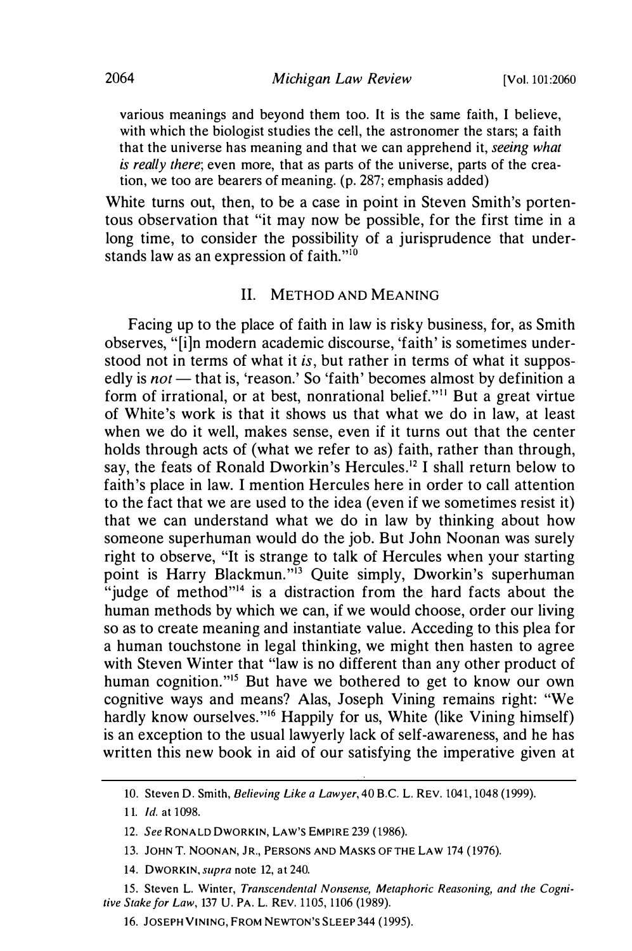various meanings and beyond them too. It is the same faith, I believe, with which the biologist studies the cell, the astronomer the stars; a faith that the universe has meaning and that we can apprehend it, seeing what is really there; even more, that as parts of the universe, parts of the creation, we too are bearers of meaning. (p. 287; emphasis added)

White turns out, then, to be a case in point in Steven Smith's portentous observation that "it may now be possible, for the first time in a long time, to consider the possibility of a jurisprudence that understands law as an expression of faith."<sup>10</sup>

#### 11. METHOD AND MEANING

Facing up to the place of faith in law is risky business, for, as Smith observes, " [i]n modern academic discourse, 'faith' is sometimes understood not in terms of what it is, but rather in terms of what it supposedly is  $not$  - that is, 'reason.' So 'faith' becomes almost by definition a form of irrational, or at best, nonrational belief."11 But a great virtue of White's work is that it shows us that what we do in law, at least when we do it well, makes sense, even if it turns out that the center holds through acts of (what we refer to as) faith, rather than through, say, the feats of Ronald Dworkin's Hercules.12 I shall return below to faith's place in law. I mention Hercules here in order to call attention to the fact that we are used to the idea (even if we sometimes resist it) that we can understand what we do in law by thinking about how someone superhuman would do the job. But John Noonan was surely right to observe, "It is strange to talk of Hercules when your starting point is Harry Blackmun."<sup>13</sup> Quite simply, Dworkin's superhuman "judge of method"<sup>14</sup> is a distraction from the hard facts about the human methods by which we can, if we would choose, order our living so as to create meaning and instantiate value. Acceding to this plea for a human touchstone in legal thinking, we might then hasten to agree with Steven Winter that "law is no different than any other product of human cognition."<sup>15</sup> But have we bothered to get to know our own cognitive ways and means? Alas, Joseph Vining remains right: "We hardly know ourselves."<sup>16</sup> Happily for us, White (like Vining himself) is an exception to the usual lawyerly lack of self-awareness, and he has written this new book in aid of our satisfying the imperative given at

- 13. JOHN T. NOONAN, JR., PERSONS AND MASKS OF THE LAW 174 (1976).
- 14. DWORKIN, supra note 12, at 240.

<sup>10.</sup> Steven D. Smith, Believing Like a Lawyer, 40 B.C. L. REV. 1041, 1048 (1999).

<sup>11.</sup> *Id.* at 1098.

<sup>12.</sup> See RONALD DWORKIN, LAW'S EMPIRE 239 (1986).

<sup>15.</sup> Steven L. Winter, Transcendental Nonsense, Metaphoric Reasoning, and the Cognitive Stake for Law, 137 U. PA. L. REV. 1105, 1106 (1989).

<sup>16.</sup> JOSEPH VINING, FROM NEWTON'S SLEEP 344 (1995).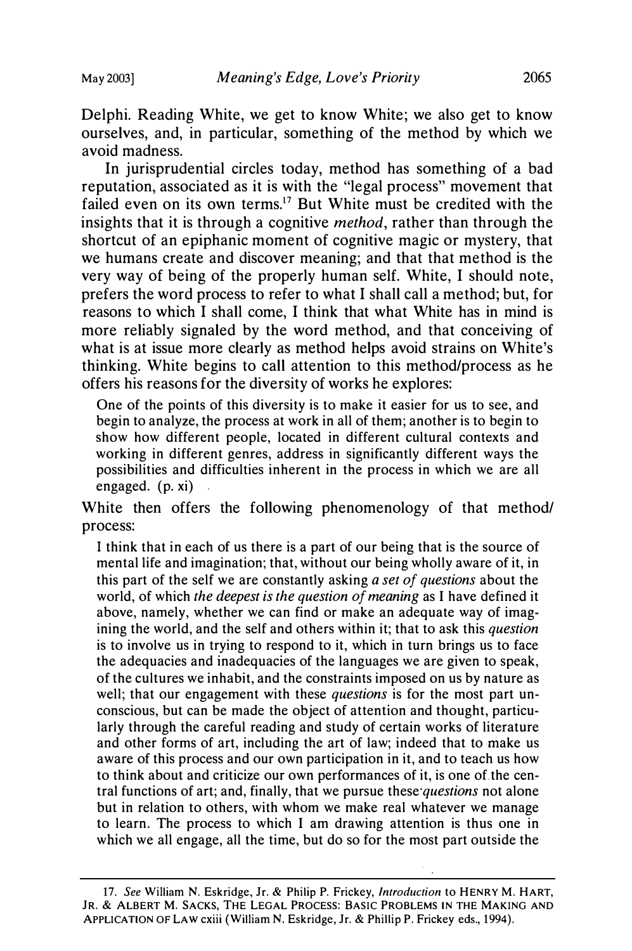Delphi. Reading White, we get to know White; we also get to know ourselves, and, in particular, something of the method by which we avoid madness.

In jurisprudential circles today, method has something of a bad reputation, associated as it is with the "legal process" movement that failed even on its own terms.<sup>17</sup> But White must be credited with the insights that it is through a cognitive method, rather than through the shortcut of an epiphanic moment of cognitive magic or mystery, that we humans create and discover meaning; and that that method is the very way of being of the properly human self. White, I should note, prefers the word process to refer to what I shall call a method; but, for reasons to which I shall come, I think that what White has in mind is more reliably signaled by the word method, and that conceiving of what is at issue more clearly as method helps avoid strains on White's thinking. White begins to call attention to this method/process as he offers his reasons for the diversity of works he explores:

One of the points of this diversity is to make it easier for us to see, and begin to analyze, the process at work in all of them; another is to begin to show how different people, located in different cultural contexts and working in different genres, address in significantly different ways the possibilities and difficulties inherent in the process in which we are all engaged. (p. xi)

White then offers the following phenomenology of that method/ process:

I think that in each of us there is a part of our being that is the source of mental life and imagination; that, without our being wholly aware of it, in this part of the self we are constantly asking a set of questions about the world, of which the deepest is the question of meaning as I have defined it above, namely, whether we can find or make an adequate way of imagining the world, and the self and others within it; that to ask this *question* is to involve us in trying to respond to it, which in turn brings us to face the adequacies and inadequacies of the languages we are given to speak, of the cultures we inhabit, and the constraints imposed on us by nature as well; that our engagement with these *questions* is for the most part unconscious, but can be made the object of attention and thought, particularly through the careful reading and study of certain works of literature and other forms of art, including the art of law; indeed that to make us aware of this process and our own participation in it, and to teach us how to think about and criticize our own performances of it, is one of.the central functions of art; and, finally, that we pursue these *questions* not alone but in relation to others, with whom we make real whatever we manage to learn. The process to which I am drawing attention is thus one in which we all engage, all the time, but do so for the most part outside the

<sup>17.</sup> See William N. Eskridge, Jr. & Philip P. Frickey, Introduction to HENRY M. HART, JR. & ALBERT M. SACKS, THE LEGAL PROCESS: BASIC PROBLEMS IN THE MAKING AND APPLICATION OF LAW cxiii (William N. Eskridge, Jr. & Phillip P. Frickey eds., 1994).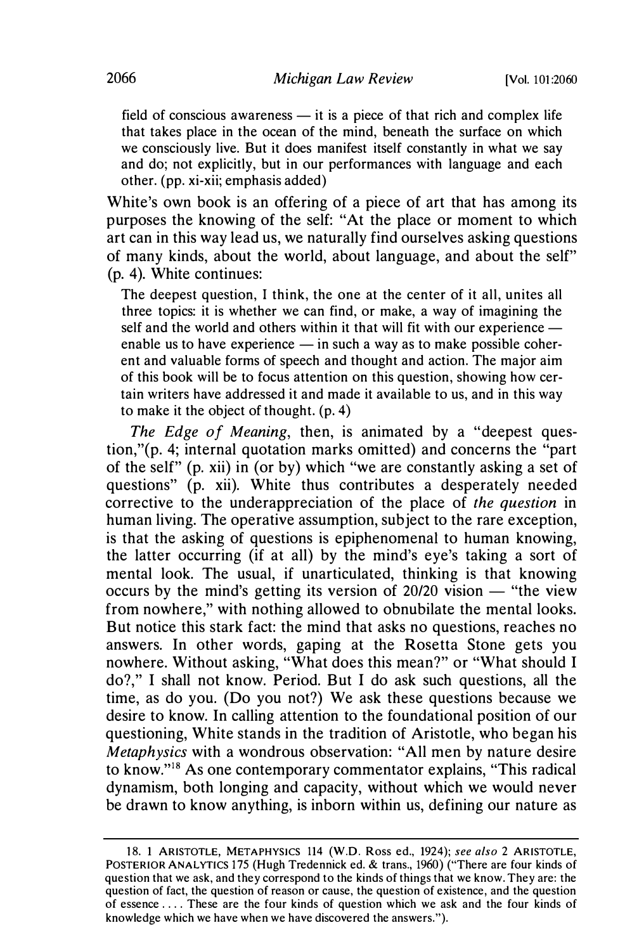field of conscious awareness  $-$  it is a piece of that rich and complex life that takes place in the ocean of the mind, beneath the surface on which we consciously live. But it does manifest itself constantly in what we say and do; not explicitly, but in our performances with language and each other. (pp. xi-xii; emphasis added)

White's own book is an offering of a piece of art that has among its purposes the knowing of the self: "At the place or moment to which art can in this way lead us, we naturally find ourselves asking questions of many kinds, about the world, about language, and about the self" (p. 4). White continues:

The deepest question, I think, the one at the center of it all, unites all three topics: it is whether we can find, or make, a way of imagining the self and the world and others within it that will fit with our experience enable us to have experience  $\frac{1}{n}$  in such a way as to make possible coherent and valuable forms of speech and thought and action. The major aim of this book will be to focus attention on this question, showing how certain writers have addressed it and made it available to us, and in this way to make it the object of thought. (p. 4)

The Edge of Meaning, then, is animated by a "deepest question,"(p. 4; internal quotation marks omitted) and concerns the "part of the self" (p. xii) in (or by) which "we are constantly asking a set of questions" (p. xii). White thus contributes a desperately needed corrective to the underappreciation of the place of the question in human living. The operative assumption, subject to the rare exception, is that the asking of questions is epiphenomenal to human knowing, the latter occurring (if at all) by the mind's eye's taking a sort of mental look. The usual, if unarticulated, thinking is that knowing occurs by the mind's getting its version of  $20/20$  vision  $-$  "the view from nowhere," with nothing allowed to obnubilate the mental looks. But notice this stark fact: the mind that asks no questions, reaches no answers. In other words, gaping at the Rosetta Stone gets you nowhere. Without asking, "What does this mean?" or "What should I do?," I shall not know. Period. But I do ask such questions, all the time, as do you. (Do you not?) We ask these questions because we desire to know. In calling attention to the foundational position of our questioning, White stands in the tradition of Aristotle, who began his Metaphysics with a wondrous observation: "All men by nature desire to know."18 As one contemporary commentator explains, "This radical dynamism, both longing and capacity, without which we would never be drawn to know anything, is inborn within us, defining our nature as

<sup>18. 1</sup> ARISTOTLE, METAPHYSICS 114 (W.D. Ross ed., 1924); see also 2 ARISTOTLE, POSTERIOR ANALYTICS 175 (Hugh Tredennick ed. & trans., 1960) ("There are four kinds of question that we ask, and they correspond to the kinds of things that we know. They are: the question of fact, the question of reason or cause, the question of existence, and the question of essence .... These are the four kinds of question which we ask and the four kinds of knowledge which we have when we have discovered the answers. ").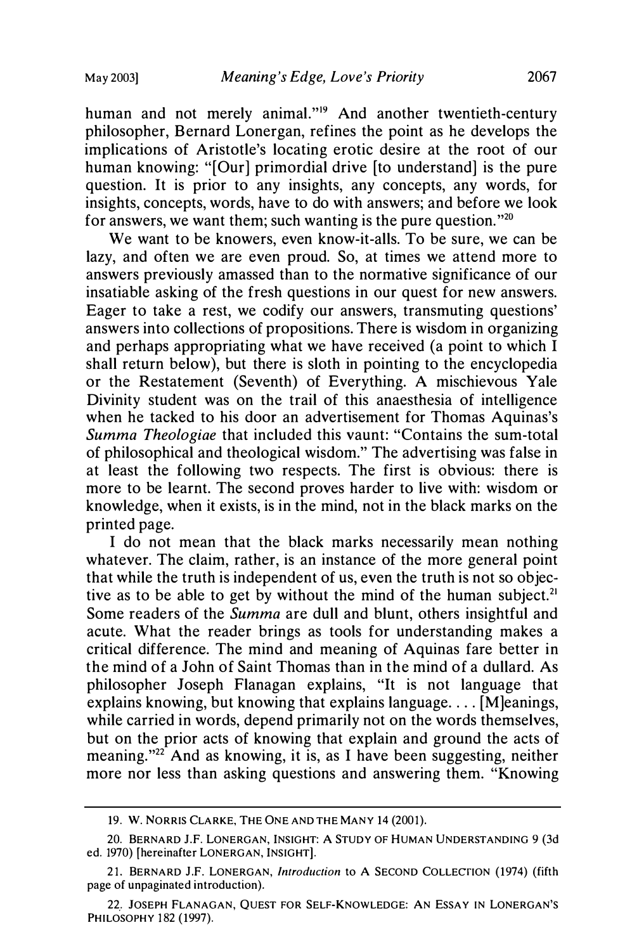human and not merely animal."<sup>19</sup> And another twentieth-century philosopher, Bernard Lonergan, refines the point as he develops the implications of Aristotle's locating erotic desire at the root of our human knowing: "[Our] primordial drive [to understand] is the pure question. It is prior to any insights, any concepts, any words, for insights, concepts, words, have to do with answers; and before we look for answers, we want them; such wanting is the pure question."20

We want to be knowers, even know-it-alls. To be sure, we can be lazy, and often we are even proud. So, at times we attend more to answers previously amassed than to the normative significance of our insatiable asking of the fresh questions in our quest for new answers. Eager to take a rest, we codify our answers, transmuting questions' answers into collections of propositions. There is wisdom in organizing and perhaps appropriating what we have received (a point to which  $\overline{I}$ shall return below), but there is sloth in pointing to the encyclopedia or the Restatement (Seventh) of Everything. A mischievous Yale Divinity student was on the trail of this anaesthesia of intelligence when he tacked to his door an advertisement for Thomas Aquinas's Summa Theologiae that included this vaunt: "Contains the sum-total of philosophical and theological wisdom." The advertising was false in at least the following two respects. The first is obvious: there is more to be learnt. The second proves harder to live with: wisdom or knowledge, when it exists, is in the mind, not in the black marks on the printed page.

I do not mean that the black marks necessarily mean nothing whatever. The claim, rather, is an instance of the more general point that while the truth is independent of us, even the truth is not so objective as to be able to get by without the mind of the human subject.<sup>21</sup> Some readers of the Summa are dull and blunt, others insightful and acute. What the reader brings as tools for understanding makes a critical difference. The mind and meaning of Aquinas fare better in the mind of a John of Saint Thomas than in the mind of a dullard. As philosopher Joseph Flanagan explains, "It is not language that explains knowing, but knowing that explains language.... [M]eanings, while carried in words, depend primarily not on the words themselves, but on the prior acts of knowing that explain and ground the acts of meaning."<sup>22</sup> And as knowing, it is, as I have been suggesting, neither more nor less than asking questions and answering them. "Knowing

<sup>19.</sup> W. NORRIS CLARKE, THE ONE AND THE MANY 14 (2001).

<sup>20.</sup> BERNARD J.F. LONERGAN, INSIGHT: A STUDY OF HUMAN UNDERSTANDING 9 (3d ed. 1970) [hereinafter LONERGAN, INSIGHT].

<sup>21.</sup> BERNARD J.F. LONERGAN, Introduction to A SECOND COLLECTION (1974) (fifth page of unpaginated introduction).

<sup>22,.</sup> JOSEPH FLANAGAN, QUEST FOR SELF-KNOWLEDGE: AN ESSAY IN LONERGAN'S PHILOSOPHY 182 (1997).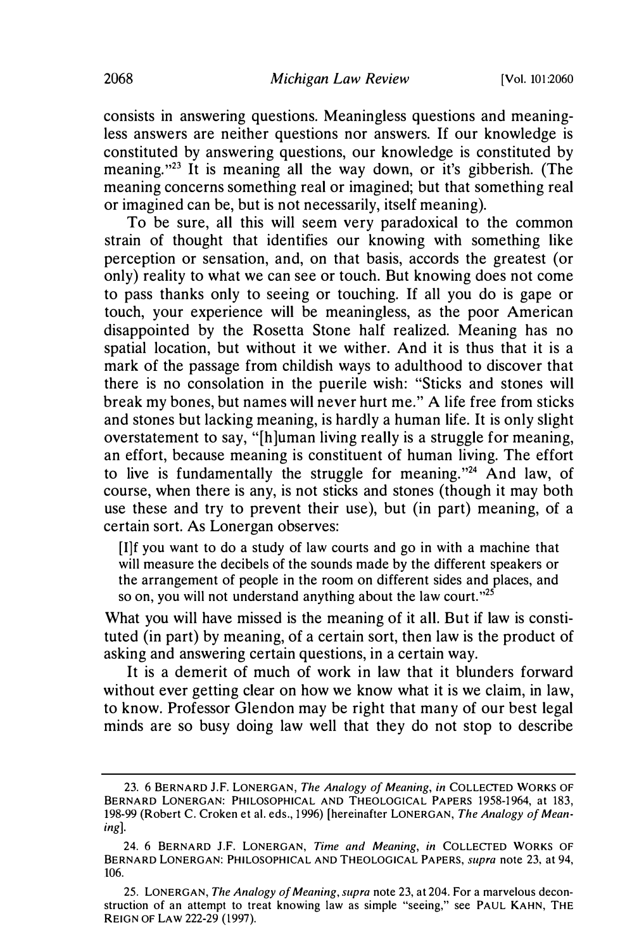consists in answering questions. Meaningless questions and meaningless answers are neither questions nor answers. If our knowledge is constituted by answering questions, our knowledge is constituted by meaning."23 It is meaning all the way down, or it's gibberish. (The meaning concerns something real or imagined; but that something real or imagined can be, but is not necessarily, itself meaning).

To be sure, all this will seem very paradoxical to the common strain of thought that identifies our knowing with something like perception or sensation, and, on that basis, accords the greatest (or only) reality to what we can see or touch. But knowing does not come to pass thanks only to seeing or touching. If all you do is gape or touch, your experience will be meaningless, as the poor American disappointed by the Rosetta Stone half realized. Meaning has no spatial location, but without it we wither. And it is thus that it is a mark of the passage from childish ways to adulthood to discover that there is no consolation in the puerile wish: "Sticks and stones will break my bones, but names will never hurt me." A life free from sticks and stones but lacking meaning, is hardly a human life. It is only slight overstatement to say, "[h]uman living really is a struggle for meaning, an effort, because meaning is constituent of human living. The effort to live is fundamentally the struggle for meaning."24 And law, of course, when there is any, is not sticks and stones (though it may both use these and try to prevent their use), but (in part) meaning, of a certain sort. As Lonergan observes:

[I]f you want to do a study of law courts and go in with a machine that will measure the decibels of the sounds made by the different speakers or the arrangement of people in the room on different sides and places, and so on, you will not understand anything about the law court."<sup>25</sup>

What you will have missed is the meaning of it all. But if law is constituted (in part) by meaning, of a certain sort, then law is the product of asking and answering certain questions, in a certain way.

It is a demerit of much of work in law that it blunders forward without ever getting clear on how we know what it is we claim, in law, to know. Professor Glendon may be right that many of our best legal minds are so busy doing law well that they do not stop to describe

<sup>23. 6</sup> BERNARD J.F. LONERGAN, The Analogy of Meaning, in COLLECTED WORKS OF BERNARD LONERGAN: PHILOSOPHICAL AND THEOLOGICAL PAPERS 1958-1964, at 183, 198-99 (Robert C. Croken et al. eds., 1996) [hereinafter LONERGAN, The Analogy of Meaning].

<sup>24. 6</sup> BERNARD J.F. LONERGAN, Time and Meaning, in COLLECTED WORKS OF BERNARD LONERGAN: PHILOSOPHICAL AND THEOLOGICAL PAPERS, supra note 23, at 94, 106.

<sup>25.</sup> LONERGAN, The Analogy of Meaning, supra note 23, at 204. For a marvelous deconstruction of an attempt to treat knowing law as simple "seeing," see PAUL KAHN, THE REIGN OF LAW 222-29 (1997).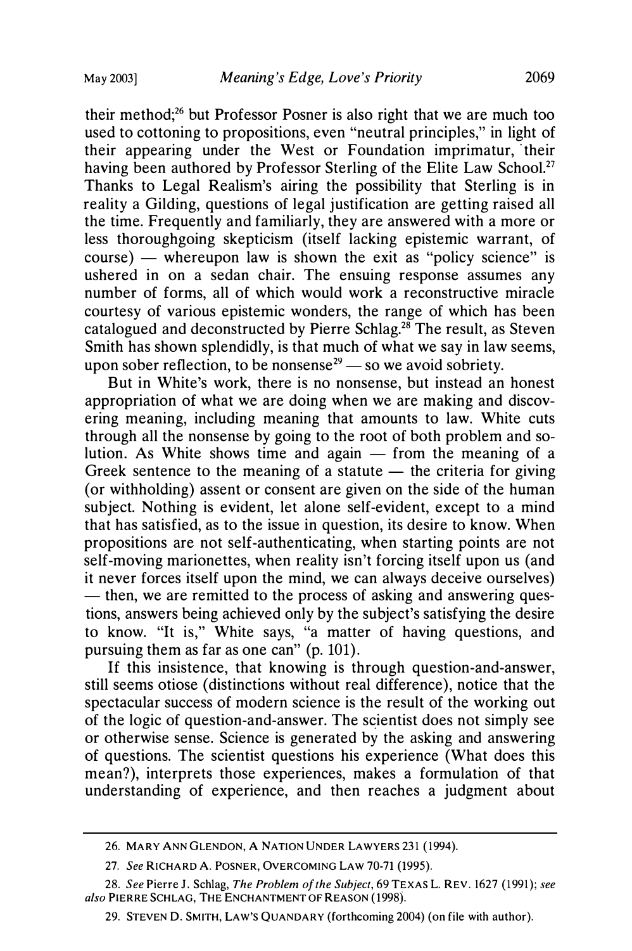their method;26 but Professor Posner is also right that we are much too used to cottoning to propositions, even "neutral principles," in light of their appearing under the West or Foundation imprimatur, 'their having been authored by Professor Sterling of the Elite Law School.<sup>27</sup> Thanks to Legal Realism's airing the possibility that Sterling is in reality a Gilding, questions of legal justification are getting raised all the time. Frequently and familiarly, they are answered with a more or less thoroughgoing skepticism (itself lacking epistemic warrant, of course) — whereupon law is shown the exit as "policy science" is ushered in on a sedan chair. The ensuing response assumes any number of forms, all of which would work a reconstructive miracle courtesy of various epistemic wonders, the range of which has been catalogued and deconstructed by Pierre Schlag.<sup>28</sup> The result, as Steven Smith has shown splendidly, is that much of what we say in law seems, upon sober reflection, to be nonsense<sup>29</sup> — so we avoid sobriety.

But in White's work, there is no nonsense, but instead an honest appropriation of what we are doing when we are making and discovering meaning, including meaning that amounts to law. White cuts through all the nonsense by going to the root of both problem and solution. As White shows time and again  $-$  from the meaning of a Greek sentence to the meaning of a statute  $-$  the criteria for giving (or withholding) assent or consent are given on the side of the human subject. Nothing is evident, let alone self-evident, except to a mind that has satisfied, as to the issue in question, its desire to know. When propositions are not self-authenticating, when starting points are not self-moving marionettes, when reality isn't forcing itself upon us (and it never forces itself upon the mind, we can always deceive ourselves) - then, we are remitted to the process of asking and answering questions, answers being achieved only by the subject's satisfying the desire to know. "It is," White says, "a matter of having questions, and pursuing them as far as one can" (p. 101).

If this insistence, that knowing is through question-and-answer, still seems otiose (distinctions without real difference), notice that the spectacular success of modern science is the result of the working out of the logic of question-and-answer. The scientist does not simply see or otherwise sense. Science is generated by the asking and answering of questions. The scientist questions his experience (What does this mean?), interprets those experiences, makes a formulation of that understanding of experience, and then reaches a judgment about

<sup>26.</sup> MARY ANN GLENDON, A NATION UNDER LAWYERS 231 (1994).

<sup>27.</sup> See RICHARD A. POSNER, OVERCOMING LAW 70-71 (1995).

<sup>28.</sup> See Pierre J. Schlag, The Problem of the Subject, 69 TEXAS L. REV. 1627 (1991); see also PIERRE SCHLAG, THE ENCHANTMENT OF REASON (1998).

<sup>29.</sup> STEVEN D. SMITH, LAW'S QUANDARY (forthcoming 2004) (on file with author).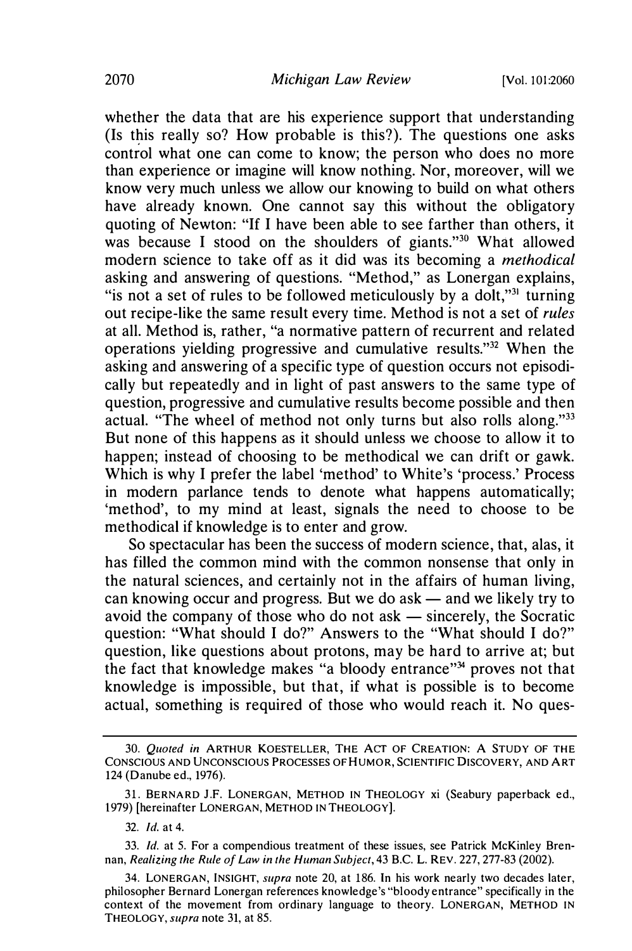whether the data that are his experience support that understanding (Is this really so? How probable is this?). The questions one asks control what one can come to know; the person who does no more than experience or imagine will know nothing. Nor, moreover, will we know very much unless we allow our knowing to build on what others have already known. One cannot say this without the obligatory quoting of Newton: "If I have been able to see farther than others, it was because I stood on the shoulders of giants."<sup>30</sup> What allowed modern science to take off as it did was its becoming a methodical asking and answering of questions. "Method," as Lonergan explains, "is not a set of rules to be followed meticulously by a dolt,"<sup>31</sup> turning out recipe-like the same result every time. Method is not a set of rules at all. Method is, rather, "a normative pattern of recurrent and related operations yielding progressive and cumulative results."32 When the asking and answering of a specific type of question occurs not episodically but repeatedly and in light of past answers to the same type of question, progressive and cumulative results become possible and then actual. "The wheel of method not only turns but also rolls along."33 But none of this happens as it should unless we choose to allow it to happen; instead of choosing to be methodical we can drift or gawk. Which is why I prefer the label 'method' to White's 'process.' Process in modern parlance tends to denote what happens automatically; 'method', to my mind at least, signals the need to choose to be methodical if knowledge is to enter and grow.

So spectacular has been the success of modern science, that, alas, it has filled the common mind with the common nonsense that only in the natural sciences, and certainly not in the affairs of human living, can knowing occur and progress. But we do ask  $-$  and we likely try to avoid the company of those who do not ask  $-$  sincerely, the Socratic question: "What should I do?" Answers to the "What should I do?" question, like questions about protons, may be hard to arrive at; but the fact that knowledge makes "a bloody entrance"34 proves not that knowledge is impossible, but that, if what is possible is to become actual, something is required of those who would reach it. No ques-

<sup>30.</sup> Quoted in ARTHUR KOESTELLER, THE ACT OF CREATION: A STUDY OF THE CONSCIOUS AND UNCONSCIOUS PROCESSES OF HUMOR, SCIENTIFIC DISCOVERY, AND ART 124 (Danube ed., 1976).

<sup>31.</sup> BERNARD J.F. LONERGAN, METHOD IN THEOLOGY xi (Seabury paperback ed., 1979) (hereinafter LONERGAN, METHOD IN THEOLOGY).

<sup>32.</sup> Id. at 4.

<sup>33.</sup> Id. at 5. For a compendious treatment of these issues, see Patrick McKinley Brennan, Realizing the Rule of Law in the Human Subject, 43 B.C. L. REV. 227, 277-83 (2002).

<sup>34.</sup> LONERGAN, INSIGHT, supra note 20, at 186. In his work nearly two decades later, philosopher Bernard Lonergan references knowledge's "bloody entrance" specifically in the context of the movement from ordinary language to theory. LONERGAN, METHOD IN THEOLOGY, supra note 31, at 85.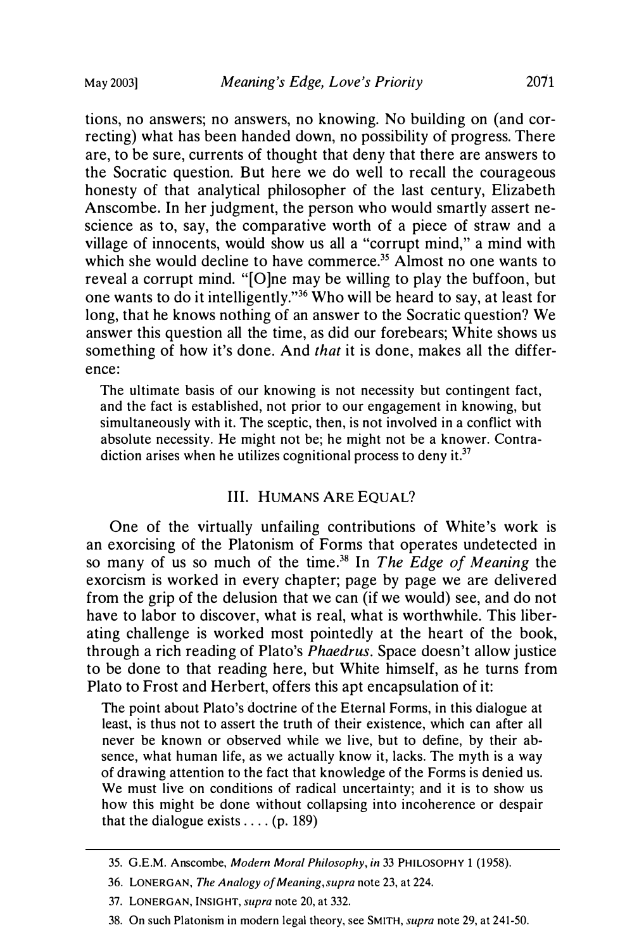tions, no answers; no answers, no knowing. No building on (and correcting) what has been handed down, no possibility of progress. There are, to be sure, currents of thought that deny that there are answers to the Socratic question. But here we do well to recall the courageous honesty of that analytical philosopher of the last century, Elizabeth Anscombe. In her judgment, the person who would smartly assert nescience as to, say, the comparative worth of a piece of straw and a village of innocents, would show us all a "corrupt mind," a mind with which she would decline to have commerce.<sup>35</sup> Almost no one wants to reveal a corrupt mind. "[O]ne may be willing to play the buffoon, but one wants to do it intelligently."36 Who will be heard to say, at least for long, that he knows nothing of an answer to the Socratic question? We answer this question all the time, as did our forebears; White shows us something of how it's done. And *that* it is done, makes all the difference:

The ultimate basis of our knowing is not necessity but contingent fact, and the fact is established, not prior to our engagement in knowing, but simultaneously with it. The sceptic, then, is not involved in a conflict with absolute necessity. He might not be; he might not be a knower. Contradiction arises when he utilizes cognitional process to deny it.<sup>37</sup>

#### III. HUMANS ARE EQUAL?

One of the virtually unfailing contributions of White's work is an exorcising of the Platonism of Forms that operates undetected in so many of us so much of the time.<sup>38</sup> In The Edge of Meaning the exorcism is worked in every chapter; page by page we are delivered from the grip of the delusion that we can (if we would) see, and do not have to labor to discover, what is real, what is worthwhile. This liberating challenge is worked most pointedly at the heart of the book, through a rich reading of Plato's Phaedrus. Space doesn't allow justice to be done to that reading here, but White himself, as he turns from Plato to Frost and Herbert, offers this apt encapsulation of it:

The point about Plato's doctrine of the Eternal Forms, in this dialogue at least, is thus not to assert the truth of their existence, which can after all never be known or observed while we live, but to define, by their absence, what human life, as we actually know it, lacks. The myth is a way of drawing attention to the fact that knowledge of the Forms is denied us. We must live on conditions of radical uncertainty; and it is to show us how this might be done without collapsing into incoherence or despair that the dialogue exists  $\dots$  (p. 189)

<sup>35.</sup> G.E.M. Anscombe, Modern Moral Philosophy, in 33 PHILOSOPHY 1 (1958).

<sup>36.</sup> LONERGAN, The Analogy of Meaning, supra note 23, at 224.

<sup>37.</sup> LONERGAN, INSIGHT, supra note 20, at 332.

<sup>38.</sup> On such Platonism in modern legal theory, see SMITH, supra note 29, at 241-50.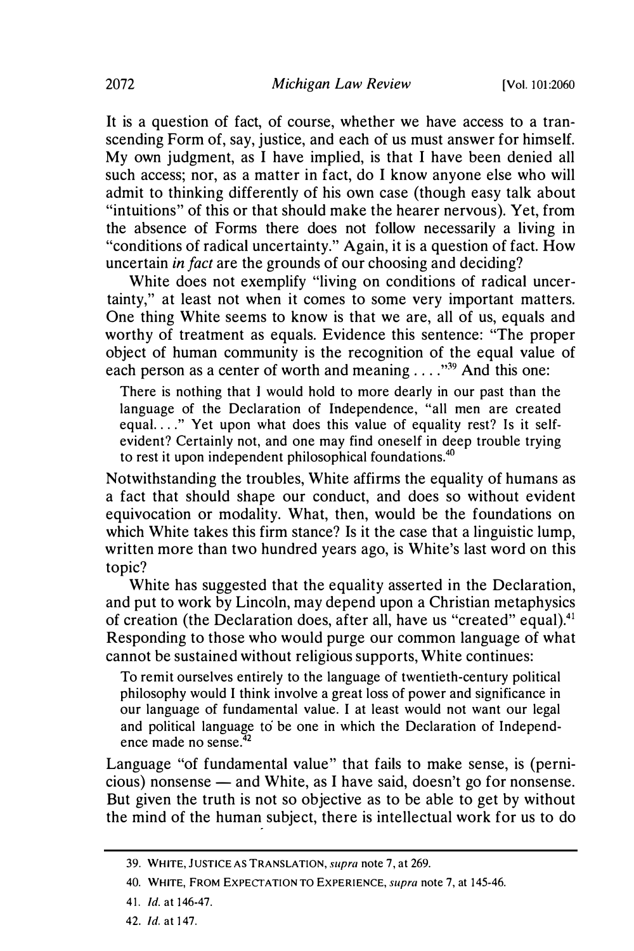It is a question of fact, of course, whether we have access to a transcending Form of, say, justice, and each of us must answer for himself. My own judgment, as I have implied, is that I have been denied all such access; nor, as a matter in fact, do I know anyone else who will admit to thinking differently of his own case (though easy talk about "intuitions" of this or that should make the hearer nervous). Yet, from the absence of Forms there does not follow necessarily a living in "conditions of radical uncertainty." Again, it is a question of fact. How uncertain in fact are the grounds of our choosing and deciding?

White does not exemplify "living on conditions of radical uncertainty," at least not when it comes to some very important matters. One thing White seems to know is that we are, all of us, equals and worthy of treatment as equals. Evidence this sentence: "The proper object of human community is the recognition of the equal value of each person as a center of worth and meaning . . . .<sup>39</sup> And this one:

There is nothing that I would hold to more dearly in our past than the language of the Declaration of Independence, "all men are created equal...." Yet upon what does this value of equality rest? Is it selfevident? Certainly not, and one may find oneself in deep trouble trying to rest it upon independent philosophical foundations.<sup>40</sup>

Notwithstanding the troubles, White affirms the equality of humans as a fact that should shape our conduct, and does so without evident equivocation or modality. What, then, would be the foundations on which White takes this firm stance? Is it the case that a linguistic lump, written more than two hundred years ago, is White's last word on this topic?

White has suggested that the equality asserted in the Declaration, and put to work by Lincoln, may depend upon a Christian metaphysics of creation (the Declaration does, after all, have us "created" equal).41 Responding to those who would purge our common language of what cannot be sustained without religious supports, White continues:

To remit ourselves entirely to the language of twentieth-century political philosophy would I think involve a great loss of power and significance in our language of fundamental value. I at least would not want our legal and political language to be one in which the Declaration of Independence made no sense. $42$ 

Language "of fundamental value" that fails to make sense, is (pernicious) nonsense — and White, as I have said, doesn't go for nonsense. But given the truth is not so objective as to be able to get by without the mind of the human subject, there is intellectual work for us to do

<sup>39.</sup> WHITE, JUSTICE AS TRANSLATION, supra note 7, at 269.

<sup>40.</sup> WHITE, FROM EXPECTATION TO EXPERIENCE, supra note 7, at 145-46.

<sup>41.</sup> Id. at 146-47.

<sup>42.</sup> Id. at 147.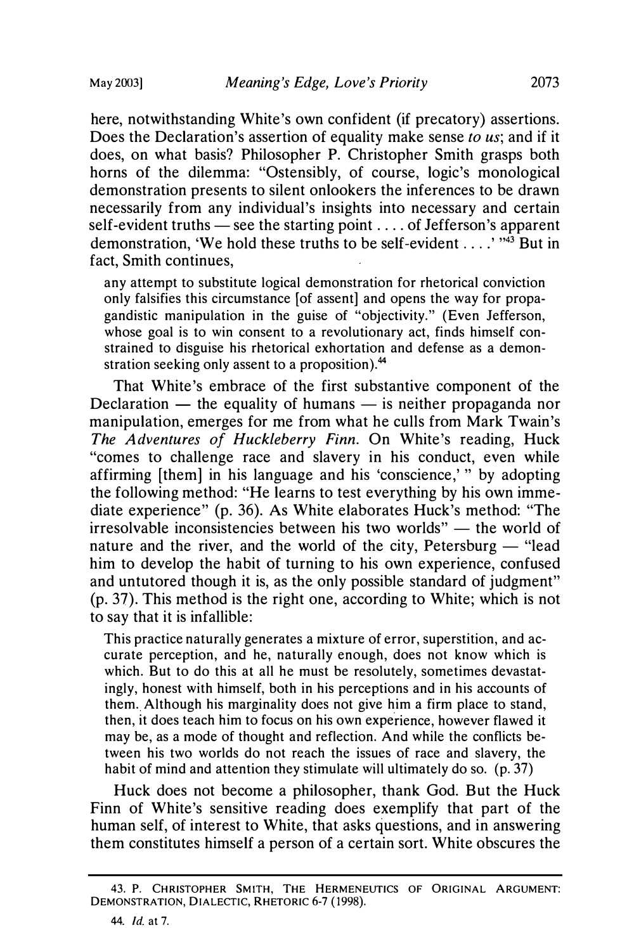here, notwithstanding White's own confident (if precatory) assertions. Does the Declaration's assertion of equality make sense to us; and if it does, on what basis? Philosopher P. Christopher Smith grasps both horns of the dilemma: "Ostensibly, of course, logic's monological demonstration presents to silent onlookers the inferences to be drawn necessarily from any individual's insights into necessary and certain self-evident truths  $-$  see the starting point  $\dots$  of Jefferson's apparent demonstration, 'We hold these truths to be self-evident .. .. ' "43 But in fact, Smith continues,

any attempt to substitute logical demonstration for rhetorical conviction only falsifies this circumstance [of assent] and opens the way for propagandistic manipulation in the guise of "objectivity." (Even Jefferson, whose goal is to win consent to a revolutionary act, finds himself constrained to disguise his rhetorical exhortation and defense as a demonstration seeking only assent to a proposition).<sup>44</sup>

That White's embrace of the first substantive component of the Declaration  $-$  the equality of humans  $-$  is neither propaganda nor manipulation, emerges for me from what he culls from Mark Twain's The Adventures of Huckleberry Finn. On White's reading, Huck "comes to challenge race and slavery in his conduct, even while affirming [them] in his language and his 'conscience,' " by adopting the following method: "He learns to test everything by his own immediate experience" (p. 36). As White elaborates Huck's method: "The irresolvable inconsistencies between his two worlds" — the world of nature and the river, and the world of the city, Petersburg  $-$  "lead him to develop the habit of turning to his own experience, confused and untutored though it is, as the only possible standard of judgment" (p. 37). This method is the right one, according to White; which is not to say that it is infallible:

This practice naturally generates a mixture of error, superstition, and accurate perception, and he, naturally enough, does not know which is which. But to do this at all he must be resolutely, sometimes devastatingly, honest with himself, both in his perceptions and in his accounts of them. Although his marginality does not give him a firm place to stand, then, it does teach him to focus on his own experience, however flawed it . may be, as a mode of thought and reflection. And while the conflicts between his two worlds do not reach the issues of race and slavery, the habit of mind and attention they stimulate will ultimately do so. (p. 37)

Huck does not become a philosopher, thank God. But the Huck Finn of White's sensitive reading does exemplify that part of the human self, of interest to White, that asks questions, and in answering them constitutes himself a person of a certain sort. White obscures the

<sup>43.</sup> P. CHRISTOPHER SMITH, THE HERMENEUTICS OF ORIGINAL ARGUMENT: DEMONSTRATION, DIALECTIC, RHETORIC 6-7 (1998).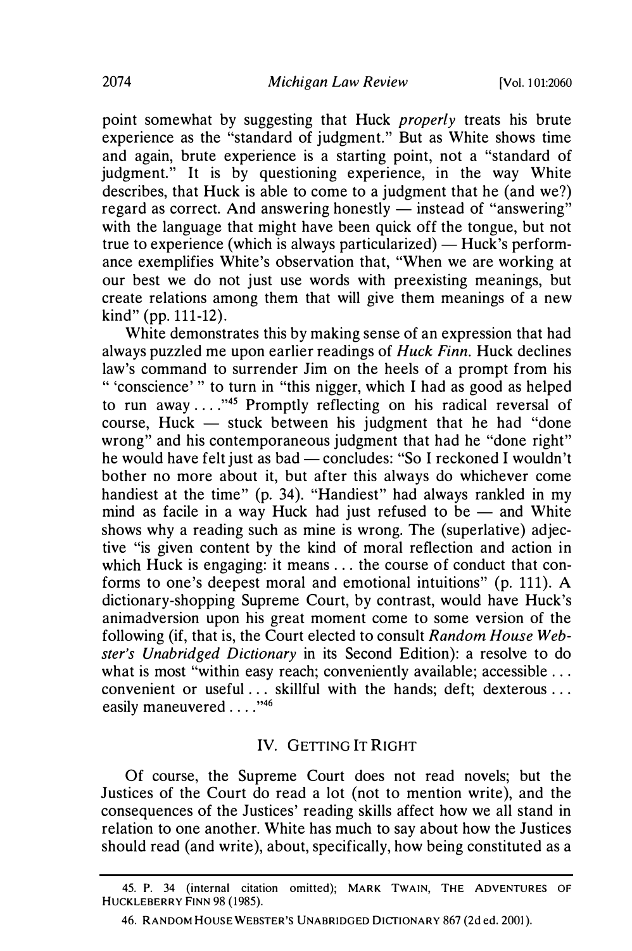point somewhat by suggesting that Huck properly treats his brute experience as the "standard of judgment." But as White shows time and again, brute experience is a starting point, not a "standard of judgment." It is by questioning experience, in the way White describes, that Huck is able to come to a judgment that he (and we?) regard as correct. And answering honestly  $-$  instead of "answering" with the language that might have been quick off the tongue, but not true to experience (which is always particularized) — Huck's performance exemplifies White's observation that, "When we are working at our best we do not just use words with preexisting meanings, but create relations among them that will give them meanings of a new kind" (pp. 111-12).

White demonstrates this by making sense of an expression that had always puzzled me upon earlier readings of Huck Finn. Huck declines law's command to surrender Jim on the heels of a prompt from his " 'conscience' " to turn in "this nigger, which I had as good as helped to run away . ... "45 Promptly reflecting on his radical reversal of course, Huck  $-$  stuck between his judgment that he had "done wrong" and his contemporaneous judgment that had he "done right" he would have felt just as bad - concludes: "So I reckoned I wouldn't bother no more about it, but after this always do whichever come handiest at the time" (p. 34). "Handiest" had always rankled in my mind as facile in a way Huck had just refused to be  $-$  and White shows why a reading such as mine is wrong. The (superlative) adjective "is given content by the kind of moral reflection and action in which Huck is engaging: it means . . . the course of conduct that conforms to one's deepest moral and emotional intuitions" (p. 111). <sup>A</sup> dictionary-shopping Supreme Court, by contrast, would have Huck's animadversion upon his great moment come to some version of the following (if, that is, the Court elected to consult Random House Webster's Unabridged Dictionary in its Second Edition): a resolve to do what is most "within easy reach; conveniently available; accessible ... convenient or useful ... skillful with the hands; deft; dexterous ... easily maneuvered . . . . "46

#### IV. GETTING IT RIGHT

Of course, the Supreme Court does not read novels; but the Justices of the Court do read a lot (not to mention write), and the consequences of the Justices' reading skills affect how we all stand in relation to one another. White has much to say about how the Justices should read (and write), about, specifically, how being constituted as a

<sup>45.</sup> P. 34 (internal citation omitted); MARK TWAIN, THE ADVENTURES OF HUCKLEBERRY FINN 98 (1985).

<sup>46.</sup> RANDOM HOUSE WEBSTER'S UNABRIDGED DICTIONARY 867 (2d ed. 2001).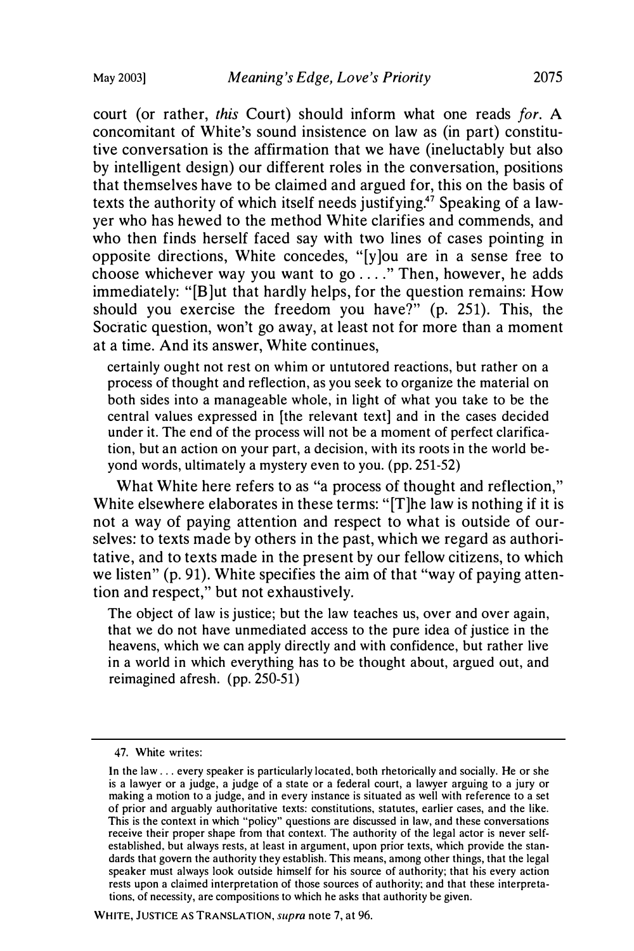court (or rather, this Court) should inform what one reads for. A concomitant of White's sound insistence on law as (in part) constitutive conversation is the affirmation that we have (ineluctably but also by intelligent design) our different roles in the conversation, positions that themselves have to be claimed and argued for, this on the basis of texts the authority of which itself needs justifying.<sup>47</sup> Speaking of a lawyer who has hewed to the method White clarifies and commends, and who then finds herself faced say with two lines of cases pointing in opposite directions, White concedes, "  $|y|$  are in a sense free to choose whichever way you want to go .... " Then, however, he adds immediately: "[B]ut that hardly helps, for the question remains: How should you exercise the freedom you have?" (p. 251). This, the Socratic question, won't go away, at least not for more than a moment at a time. And its answer, White continues,

certainly ought not rest on whim or untutored reactions, but rather on a process of thought and reflection, as you seek to organize the material on both sides into a manageable whole, in light of what you take to be the central values expressed in [the relevant text] and in the cases decided under it. The end of the process will not be a moment of perfect clarification, but an action on your part, a decision, with its roots in the world beyond words, ultimately a mystery even to you. (pp. 251-52)

What White here refers to as "a process of thought and reflection," White elsewhere elaborates in these terms: "[T]he law is nothing if it is not a way of paying attention and respect to what is outside of ourselves: to texts made by others in the past, which we regard as authoritative, and to texts made in the present by our fellow citizens, to which we listen" (p. 91). White specifies the aim of that "way of paying attention and respect," but not exhaustively.

The object of law is justice; but the law teaches us, over and over again, that we do not have unmediated access to the pure idea of justice in the heavens, which we can apply directly and with confidence, but rather live in a world in which everything has to be thought about, argued out, and reimagined afresh. (pp. 250-51)

WHITE, JUSTICE AS TRANSLATION, supra note 7, at 96.

<sup>47.</sup> White writes:

In the law ... every speaker is particularly located, both rhetorically and socially. He or she is a lawyer or a judge, a judge of a state or a federal court, a lawyer arguing to a jury or making a motion to a judge, and in every instance is situated as well with reference to a set of prior and arguably authoritative texts: constitutions, statutes, earlier cases, and the like. This is the context in which "policy" questions are discussed in law, and these conversations receive their proper shape from that context. The authority of the legal actor is never selfestablished, but always rests, at least in argument, upon prior texts, which provide the standards that govern the authority they establish. This means, among other things, that the legal speaker must always look outside himself for his source of authority; that his every action rests upon a claimed interpretation of those sources of authority; and that these interpretations, of necessity, are compositions to which he asks that authority be given.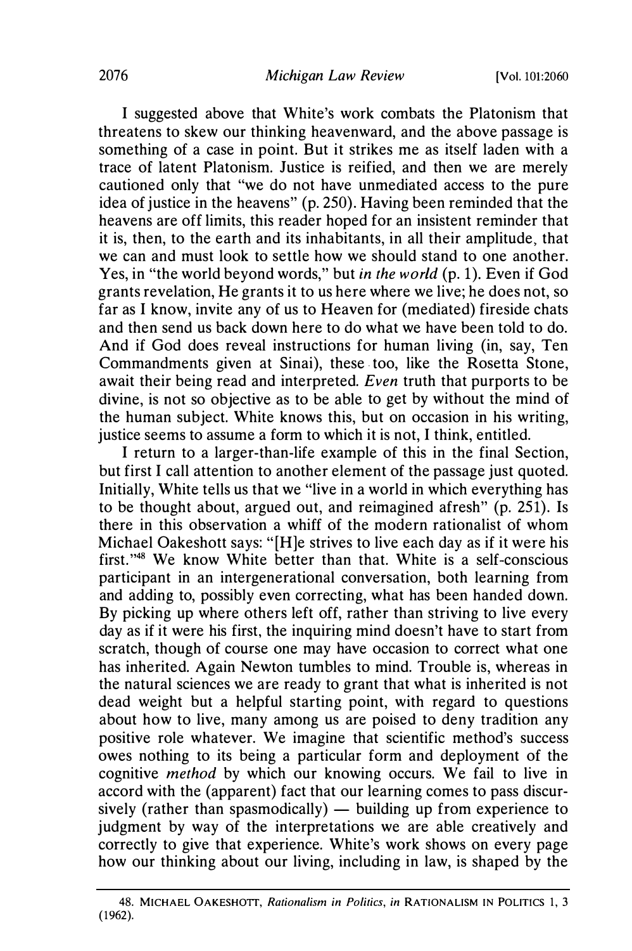I suggested above that White's work combats the Platonism that threatens to skew our thinking heavenward, and the above passage is something of a case in point. But it strikes me as itself laden with a trace of latent Platonism. Justice is reified, and then we are merely cautioned only that "we do not have unmediated access to the pure idea of justice in the heavens" (p. 250). Having been reminded that the heavens are off limits, this reader hoped for an insistent reminder that it is, then, to the earth and its inhabitants, in all their amplitude, that we can and must look to settle how we should stand to one another. Yes, in "the world beyond words," but in the world (p. 1). Even if God grants revelation, He grants it to us here where we live; he does not, so far as I know, invite any of us to Heaven for (mediated) fireside chats and then send us back down here to do what we have been told to do. And if God does reveal instructions for human living (in, say, Ten Commandments given at Sinai), these. too, like the Rosetta Stone, await their being read and interpreted. Even truth that purports to be divine, is not so objective as to be able to get by without the mind of the human subject. White knows this, but on occasion in his writing, justice seems to assume a form to which it is not. I think, entitled.

I return to a larger-than-life example of this in the final Section, but first I call attention to another element of the passage just quoted. Initially, White tells us that we "live in a world in which everything has to be thought about, argued out, and reimagined afresh" (p. 251). Is there in this observation a whiff of the modern rationalist of whom Michael Oakeshott says: " [H]e strives to live each day as if it were his first."48 We know White better than that. White is a self-conscious participant in an intergenerational conversation, both learning from and adding to, possibly even correcting, what has been handed down. By picking up where others left off, rather than striving to live every day as if it were his first, the inquiring mind doesn't have to start from scratch, though of course one may have occasion to correct what one has inherited. Again Newton tumbles to mind. Trouble is, whereas in the natural sciences we are ready to grant that what is inherited is not dead weight but a helpful starting point, with regard to questions about how to live, many among us are poised to deny tradition any positive role whatever. We imagine that scientific method's success owes nothing to its being a particular form and deployment of the cognitive method by which our knowing occurs. We fail to live in accord with the (apparent) fact that our learning comes to pass discursively (rather than spasmodically)  $-$  building up from experience to judgment by way of the interpretations we are able creatively and correctly to give that experience. White's work shows on every page how our thinking about our living, including in law, is shaped by the

<sup>48.</sup> MICHAEL 0AKESHOTT, Rationalism in Politics, in RATIONALISM IN POLITICS 1, 3 (1962).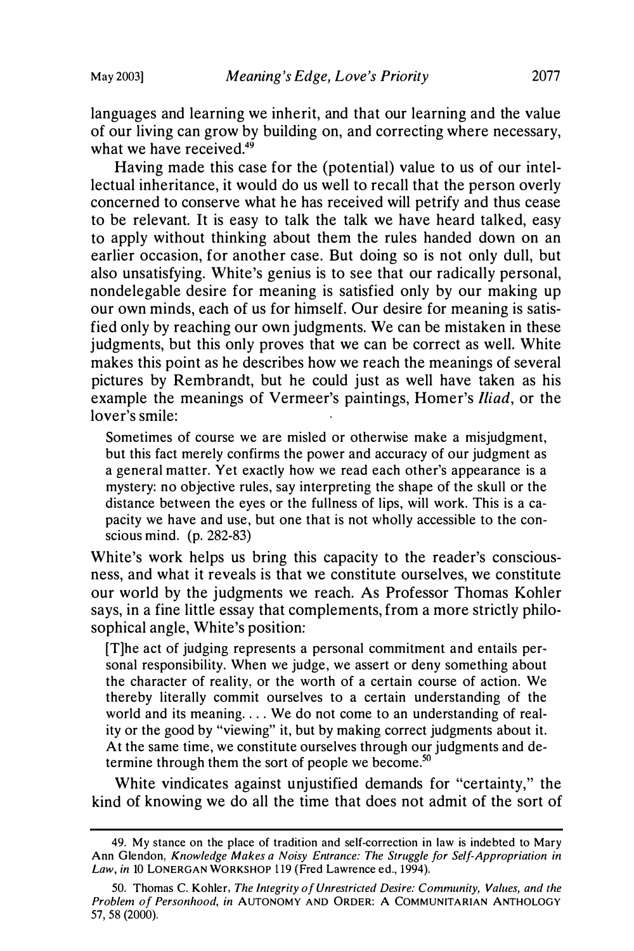languages and learning we inherit, and that our learning and the value of our living can grow by building on, and correcting where necessary, what we have received.<sup>49</sup>

Having made this case for the (potential) value to us of our intellectual inheritance, it would do us well to recall that the person overly concerned to conserve what he has received will petrify and thus cease to be relevant. It is easy to talk the talk we have heard talked, easy to apply without thinking about them the rules handed down on an earlier occasion, for another case. But doing so is not only dull, but also unsatisfying. White's genius is to see that our radically personal, nondelegable desire for meaning is satisfied only by our making up our own minds, each of us for himself. Our desire for meaning is satisfied only by reaching our own judgments. We can be mistaken in these judgments, but this only proves that we can be correct as well. White makes this point as he describes how we reach the meanings of several pictures by Rembrandt, but he could just as well have taken as his example the meanings of Vermeer's paintings, Homer's Iliad, or the lover's smile:

Sometimes of course we are misled or otherwise make a misjudgment, but this fact merely confirms the power and accuracy of our judgment as a general matter. Yet exactly how we read each other's appearance is a mystery: no objective rules, say interpreting the shape of the skull or the distance between the eyes or the fullness of lips, will work. This is a capacity we have and use, but one that is not wholly accessible to the conscious mind. (p. 282-83)

White's work helps us bring this capacity to the reader's consciousness, and what it reveals is that we constitute ourselves, we constitute our world by the judgments we reach. As Professor Thomas Kohler says, in a fine little essay that complements, from a more strictly philosophical angle, White's position:

[T]he act of judging represents a personal commitment and entails personal responsibility. When we judge, we assert or deny something about the character of reality, or the worth of a certain course of action. We thereby literally commit ourselves to a certain understanding of the world and its meaning.... We do not come to an understanding of reality or the good by "viewing" it, but by making correct judgments about it. At the same time, we constitute ourselves through our judgments and determine through them the sort of people we become.<sup>50</sup>

White vindicates against unjustified demands for "certainty," the kind of knowing we do all the time that does not admit of the sort of

<sup>49.</sup> My stance on the place of tradition and self-correction in law is indebted to Mary Ann Glendon, Knowledge Makes a Noisy Entrance: The Struggle for Self-Appropriation in Law, in 10 LONERGAN WORKSHOP 119 ( Fred Lawrence ed., 1994).

<sup>50.</sup> Thomas C. Kohler, The Integrity of Unrestricted Desire: Community, Values, and the Problem of Personhood, in AUTONOMY AND ORDER: A COMMUNITARIAN ANTHOLOGY 57, 58 (2000).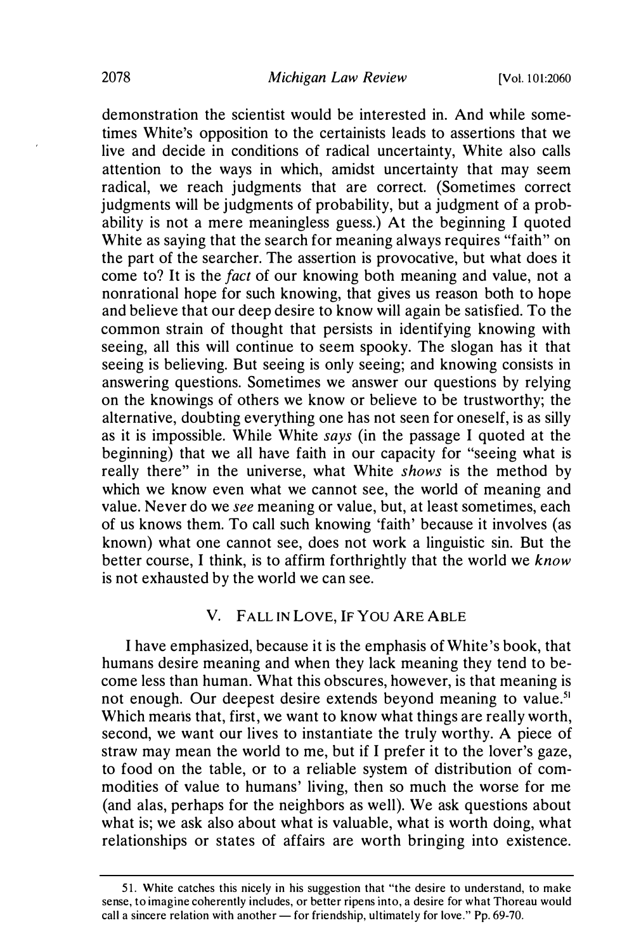demonstration the scientist would be interested in. And while sometimes White's opposition to the certainists leads to assertions that we live and decide in conditions of radical uncertainty, White also calls attention to the ways in which, amidst uncertainty that may seem radical, we reach judgments that are correct. (Sometimes correct judgments will be judgments of probability, but a judgment of a probability is not a mere meaningless guess.) At the beginning I quoted White as saying that the search for meaning always requires "faith" on the part of the searcher. The assertion is provocative, but what does it come to? It is the fact of our knowing both meaning and value, not a nonrational hope for such knowing, that gives us reason both to hope and believe that our deep desire to know will again be satisfied. To the common strain of thought that persists in identifying knowing with seeing, all this will continue to seem spooky. The slogan has it that seeing is believing. But seeing is only seeing; and knowing consists in answering questions. Sometimes we answer our questions by relying on the knowings of others we know or believe to be trustworthy; the alternative, doubting everything one has not seen for oneself, is as silly as it is impossible. While White says (in the passage I quoted at the beginning) that we all have faith in our capacity for "seeing what is really there" in the universe, what White shows is the method by which we know even what we cannot see, the world of meaning and value. Never do we see meaning or value, but, at least sometimes, each of us knows them. To call such knowing 'faith' because it involves (as known) what one cannot see, does not work a linguistic sin. But the better course, I think, is to affirm forthrightly that the world we know is not exhausted by the world we can see.

#### V. FALL IN LOVE, lF YOU ARE ABLE

I have emphasized, because it is the emphasis of White's book, that humans desire meaning and when they lack meaning they tend to become less than human. What this obscures, however, is that meaning is not enough. Our deepest desire extends beyond meaning to value.<sup>51</sup> Which mearis that, first, we want to know what things are really worth, second, we want our lives to instantiate the truly worthy. A piece of straw may mean the world to me, but if I prefer it to the lover's gaze, to food on the table, or to a reliable system of distribution of commodities of value to humans' living, then so much the worse for me (and alas, perhaps for the neighbors as well). We ask questions about what is; we ask also about what is valuable, what is worth doing, what relationships or states of affairs are worth bringing into existence.

<sup>51.</sup> White catches this nicely in his suggestion that "the desire to understand, to make sense, to imagine coherently includes, or better ripens into, a desire for what Thoreau would call a sincere relation with another — for friendship, ultimately for love." Pp. 69-70.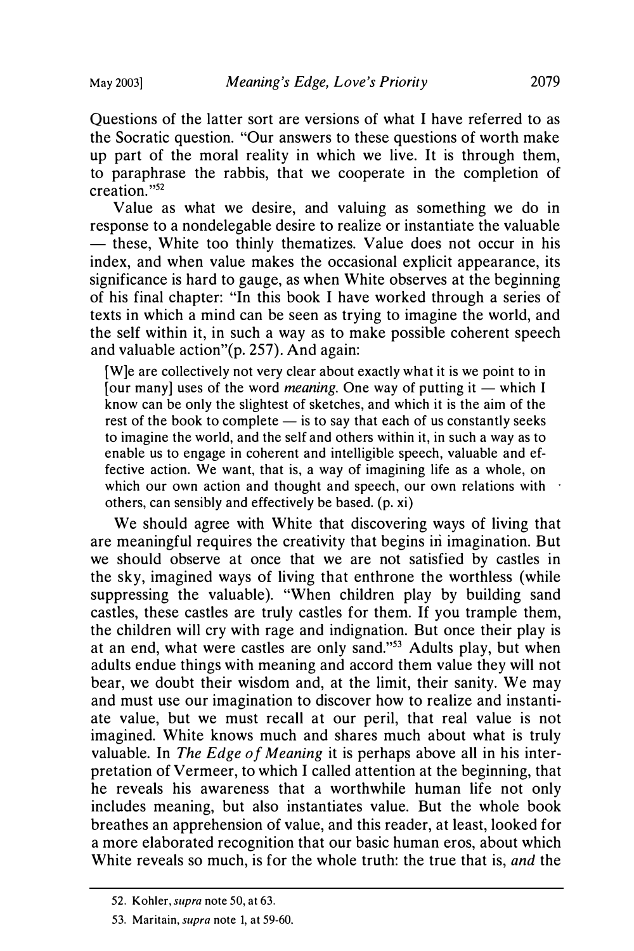Questions of the latter sort are versions of what I have referred to as the Socratic question. "Our answers to these questions of worth make up part of the moral reality in which we live. It is through them, to paraphrase the rabbis, that we cooperate in the completion of creation. "52

Value as what we desire, and valuing as something we do in response to a nondelegable desire to realize or instantiate the valuable  $-$  these, White too thinly thematizes. Value does not occur in his index, and when value makes the occasional explicit appearance, its significance is hard to gauge, as when White observes at the beginning of his final chapter: "In this book I have worked through a series of texts in which a mind can be seen as trying to imagine the world, and the self within it, in such a way as to make possible coherent speech and valuable action"(p. 257). And again:

[W]e are collectively not very clear about exactly what it is we point to in [our many] uses of the word *meaning*. One way of putting it  $-$  which I know can be only the slightest of sketches, and which it is the aim of the rest of the book to complete  $\frac{1}{x}$  is to say that each of us constantly seeks to imagine the world, and the self and others within it, in such a way as to enable us to engage in coherent and intelligible speech, valuable and effective action. We want, that is, a way of imagining life as a whole, on which our own action and thought and speech, our own relations with others, can sensibly and effectively be based. (p. xi)

We should agree with White that discovering ways of living that are meaningful requires the creativity that begins in imagination. But we should observe at once that we are not satisfied by castles in the sky, imagined ways of living that enthrone the worthless (while suppressing the valuable). "When children play by building sand castles, these castles are truly castles for them. If you trample them, the children will cry with rage and indignation. But once their play is at an end, what were castles are only sand."53 Adults play, but when adults endue things with meaning and accord them value they will not bear, we doubt their wisdom and, at the limit, their sanity. We may and must use our imagination to discover how to realize and instantiate value, but we must recall at our peril, that real value is not imagined. White knows much and shares much about what is truly valuable. In The Edge of Meaning it is perhaps above all in his interpretation of Vermeer, to which I called attention at the beginning, that he reveals his awareness that a worthwhile human life not only includes meaning, but also instantiates value. But the whole book breathes an apprehension of value, and this reader, at least, looked for a more elaborated recognition that our basic human eros, about which White reveals so much, is for the whole truth: the true that is, and the

<sup>52.</sup> Kohler, supra note 50, at 63.

<sup>53.</sup> Maritain, supra note 1, at 59-60.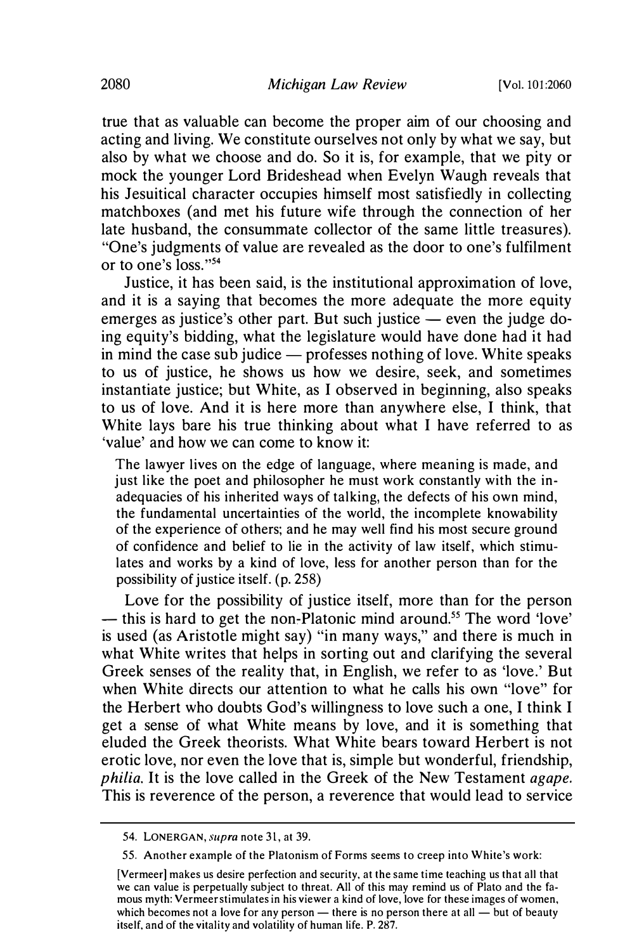true that as valuable can become the proper aim of our choosing and acting and living. We constitute ourselves not only by what we say, but also by what we choose and do. So it is, for example, that we pity or mock the younger Lord Brideshead when Evelyn Waugh reveals that his Jesuitical character occupies himself most satisfiedly in collecting matchboxes (and met his future wife through the connection of her late husband, the consummate collector of the same little treasures). "One's judgments of value are revealed as the door to one's fulfilment or to one's loss."54

Justice, it has been said, is the institutional approximation of love, and it is a saying that becomes the more adequate the more equity emerges as justice's other part. But such justice  $-$  even the judge doing equity's bidding, what the legislature would have done had it had in mind the case sub judice  $-$  professes nothing of love. White speaks to us of justice, he shows us how we desire, seek, and sometimes instantiate justice; but White, as I observed in beginning, also speaks to us of love. And it is here more than anywhere else, I think, that White lays bare his true thinking about what I have referred to as 'value' and how we can come to know it:

The lawyer lives on the edge of language, where meaning is made, and just like the poet and philosopher he must work constantly with the inadequacies of his inherited ways of talking, the defects of his own mind, the fundamental uncertainties of the world, the incomplete knowability of the experience of others; and he may well find his most secure ground of confidence and belief to lie in the activity of law itself, which stimulates and works by a kind of love, less for another person than for the possibility of justice itself. (p. 258)

Love for the possibility of justice itself, more than for the person  $-$  this is hard to get the non-Platonic mind around.<sup>55</sup> The word 'love' is used (as Aristotle might say) "in many ways," and there is much in what White writes that helps in sorting out and clarifying the several Greek senses of the reality that, in English, we refer to as 'love.' But when White directs our attention to what he calls his own "love" for the Herbert who doubts God's willingness to love such a one, I think I get a sense of what White means by love, and it is something that eluded the Greek theorists. What White bears toward Herbert is not erotic love, nor even the love that is, simple but wonderful, friendship, philia. It is the love called in the Greek of the New Testament agape. This is reverence of the person, a reverence that would lead to service

<sup>54.</sup> LONERGAN, supra note 31, at 39.

<sup>55.</sup> Another example of the Platonism of Forms seems to creep into White's work:

<sup>[</sup>Vermeer] makes us desire perfection and security, at the same time teaching us that all that we can value is perpetually subject to threat. All of this may remind us of Plato and the famous myth: Vermeer stimulates in his viewer a kind of love, love for these images of women, which becomes not a love for any person  $-$  there is no person there at all  $-$  but of beauty itself, and of the vitality and volatility of human life. P. 287.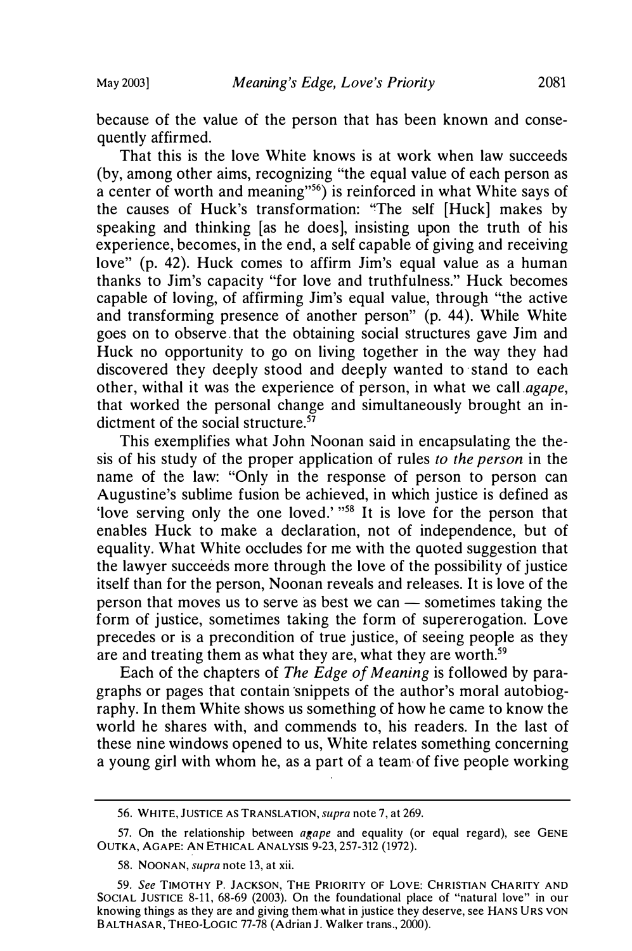because of the value of the person that has been known and consequently affirmed.

That this is the love White knows is at work when law succeeds (by, among other aims, recognizing "the equal value of each person as a center of worth and meaning"<sup>56</sup>) is reinforced in what White says of the causes of Huck's transformation: "The self [Huck] makes by speaking and thinking [as he does], insisting upon the truth of his experience, becomes, in the end, a self capable of giving and receiving love" (p. 42). Huck comes to affirm Jim's equal value as a human thanks to Jim's capacity "for love and truthfulness." Huck becomes capable of loving, of affirming Jim's equal value, through "the active and transforming presence of another person" (p. 44). While White goes on to observe . that the obtaining social structures gave Jim and Huck no opportunity to go on living together in the way they had discovered they deeply stood and deeply wanted to · stand to each other, withal it was the experience of person, in what we call *agape*, that worked the personal change and simultaneously brought an indictment of the social structure.<sup>57</sup>

This exemplifies what John Noonan said in encapsulating the thesis of his study of the proper application of rules to the person in the name of the law: "Only in the response of person to person can Augustine's sublime fusion be achieved, in which justice is defined as 'love serving only the one loved.' "58 It is love for the person that enables Huck to make a declaration, not of independence, but of equality. What White occludes for me with the quoted suggestion that the lawyer succeeds more through the love of the possibility of justice itself than for the person, Noonan reveals and releases. It is love of the person that moves us to serve as best we can  $-$  sometimes taking the form of justice, sometimes taking the form of supererogation. Love precedes or is a precondition of true justice, of seeing people as they are and treating them as what they are, what they are worth.<sup>59</sup>

Each of the chapters of The Edge of Meaning is followed by paragraphs or pages that contain snippets of the author's moral autobiography. In them White shows us something of how he came to know the world he shares with, and commends to, his readers. In the last of these nine windows opened to us, White relates something concerning a young girl with whom he, as a part of a team of five people working

<sup>56.</sup> WHITE, JUSTICE AS TRANSLATION, supra note 7, at 269.

<sup>57.</sup> On the relationship between  $a\pi$ *ape* and equality (or equal regard), see GENE 0UTKA, AGAPE: AN ETHICAL ANALYSIS 9-23, 257-312 (1972).

<sup>58.</sup> NOONAN, supra note 13, at xii.

<sup>59.</sup> See TIMOTHY P. JACKSON, THE PRIORITY OF LOVE: CHRISTIAN CHARITY AND SOCIAL JUSTICE 8-11, 68-69 (2003). On the foundational place of "natural love" in our knowing things as they are and giving them what in justice they deserve, see HANS URS VON BALTHASAR, THEO-LOGIC 77-78 (Adrian J. Walker trans., 2000).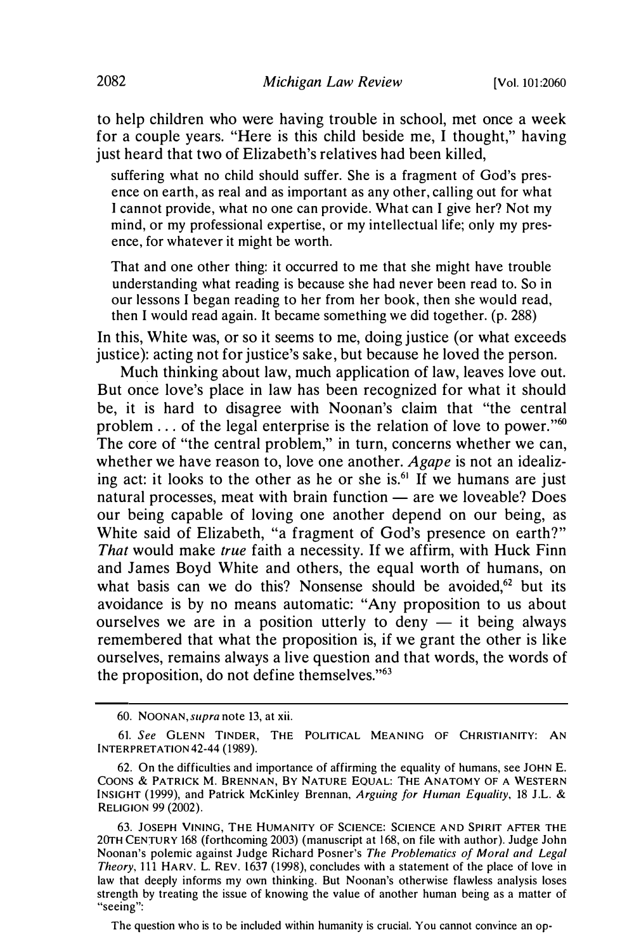to help children who were having trouble in school, met once a week for a couple years. "Here is this child beside me, I thought," having just heard that two of Elizabeth's relatives had been killed,

suffering what no child should suffer. She is a fragment of God's presence on earth, as real and as important as any other, calling out for what I cannot provide, what no one can provide. What can I give her? Not my mind, or my professional expertise, or my intellectual life; only my presence, for whatever it might be worth.

That and one other thing: it occurred to me that she might have trouble understanding what reading is because she had never been read to. So in our lessons I began reading to her from her book, then she would read, then I would read again. It became something we did together. (p. 288)

In this, White was, or so it seems to me, doing justice (or what exceeds justice): acting not for justice's sake, but because he loved the person.

Much thinking about law, much application of law, leaves love out. But once love's place in law has been recognized for what it should be, it is hard to disagree with Noonan's claim that "the central problem  $\ldots$  of the legal enterprise is the relation of love to power."<sup>60</sup> The core of "the central problem," in turn, concerns whether we can, whether we have reason to, love one another. Agape is not an idealizing act: it looks to the other as he or she is.<sup>61</sup> If we humans are just natural processes, meat with brain function  $-$  are we loveable? Does our being capable of loving one another depend on our being, as White said of Elizabeth, "a fragment of God's presence on earth?" That would make true faith a necessity. If we affirm, with Huck Finn and James Boyd White and others, the equal worth of humans, on what basis can we do this? Nonsense should be avoided, $62$  but its avoidance is by no means automatic: "Any proposition to us about ourselves we are in a position utterly to deny  $-$  it being always remembered that what the proposition is, if we grant the other is like ourselves, remains always a live question and that words, the words of the proposition, do not define themselves."63

The question who is to be included within humanity is crucial. You cannot convince an op-

<sup>60.</sup> NOONAN, supra note 13, at xii.

<sup>61.</sup> See GLENN TINDER, THE POLITICAL MEANING OF CHRISTIANITY: AN INTERPRETATION 42-44 (1989).

<sup>62.</sup> On the difficulties and importance of affirming the equality of humans, see JOHN E. COONS & PATRICK M. BRENNAN, BY NATURE EQUAL: THE ANATOMY OF A WESTERN INSIGHT (1999), and Patrick McKinley Brennan, Arguing for Human Equality, 18 J.L. & RELIGION 99 (2002).

<sup>63.</sup> JOSEPH VINING, THE HUMANITY OF SCIENCE: SCIENCE AND SPIRIT AFTER THE 20TH CENTURY 168 (forthcoming 2003) (manuscript at 168, on file with author). Judge John Noonan's polemic against Judge Richard Posner's The Problematics of Moral and Legal Theory, 111 HARV. L. REV. 1637 (1998), concludes with a statement of the place of love in law that deeply informs my own thinking. But Noonan's otherwise flawless analysis loses strength by treating the issue of knowing the value of another human being as a matter of "seeing":